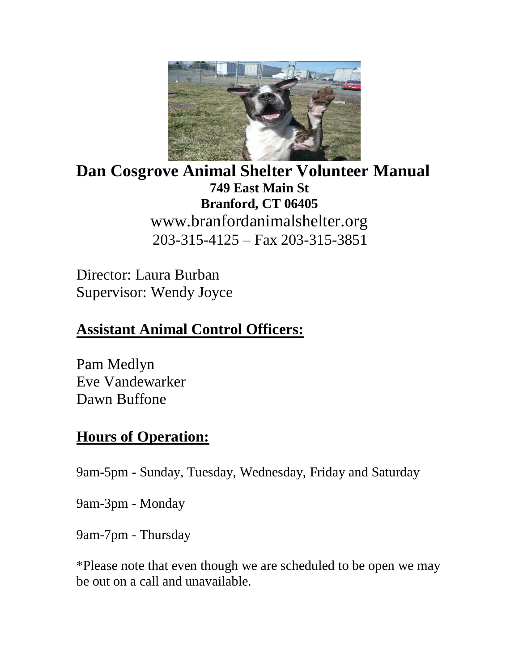

**Dan Cosgrove Animal Shelter Volunteer Manual 749 East Main St Branford, CT 06405** www.branfordanimalshelter.org 203-315-4125 – Fax 203-315-3851

Director: Laura Burban Supervisor: Wendy Joyce

# **Assistant Animal Control Officers:**

Pam Medlyn Eve Vandewarker Dawn Buffone

# **Hours of Operation:**

9am-5pm - Sunday, Tuesday, Wednesday, Friday and Saturday

9am-3pm - Monday

9am-7pm - Thursday

\*Please note that even though we are scheduled to be open we may be out on a call and unavailable.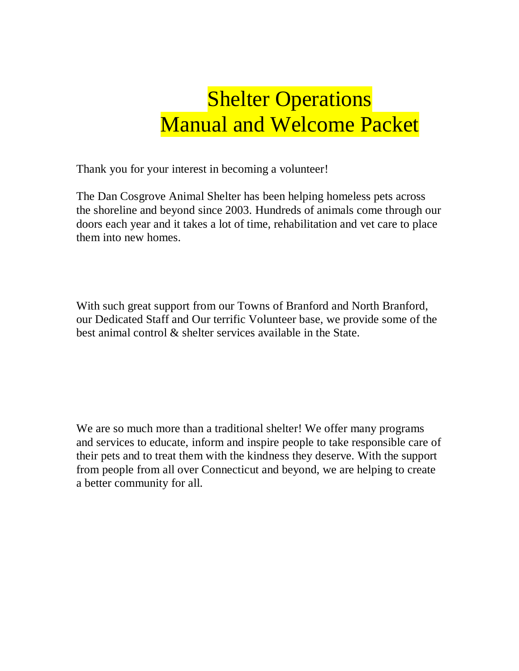# **Shelter Operations** Manual and Welcome Packet

Thank you for your interest in becoming a volunteer!

The Dan Cosgrove Animal Shelter has been helping homeless pets across the shoreline and beyond since 2003. Hundreds of animals come through our doors each year and it takes a lot of time, rehabilitation and vet care to place them into new homes.

With such great support from our Towns of Branford and North Branford, our Dedicated Staff and Our terrific Volunteer base, we provide some of the best animal control & shelter services available in the State.

We are so much more than a traditional shelter! We offer many programs and services to educate, inform and inspire people to take responsible care of their pets and to treat them with the kindness they deserve. With the support from people from all over Connecticut and beyond, we are helping to create a better community for all.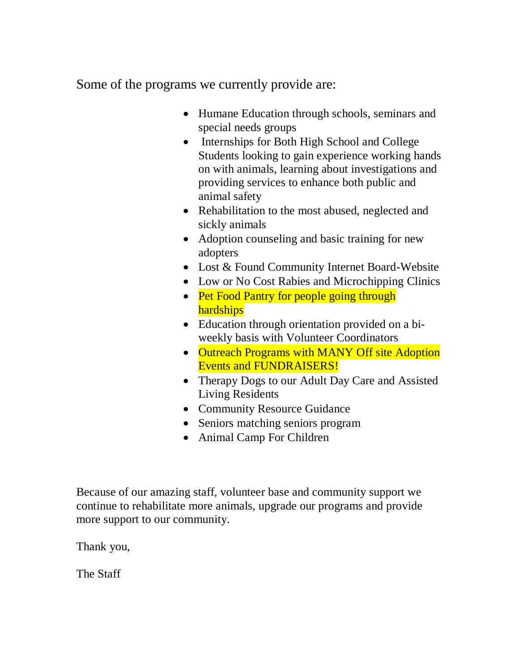Some of the programs we currently provide are:

- Humane Education through schools, seminars and special needs groups
- Internships for Both High School and College Students looking to gain experience working hands on with animals, learning about investigations and providing services to enhance both public and animal safety
- Rehabilitation to the most abused, neglected and sickly animals
- Adoption counseling and basic training for new adopters
- Lost & Found Community Internet Board-Website
- Low or No Cost Rabies and Microchipping Clinics
- Pet Food Pantry for people going through **hardships**
- Education through orientation provided on a biweekly basis with Volunteer Coordinators
- Outreach Programs with MANY Off site Adoption Events and FUNDRAISERS!
- Therapy Dogs to our Adult Day Care and Assisted Living Residents
- Community Resource Guidance
- Seniors matching seniors program
- Animal Camp For Children

Because of our amazing staff, volunteer base and community support we continue to rehabilitate more animals, upgrade our programs and provide more support to our community.

Thank you,

The Staff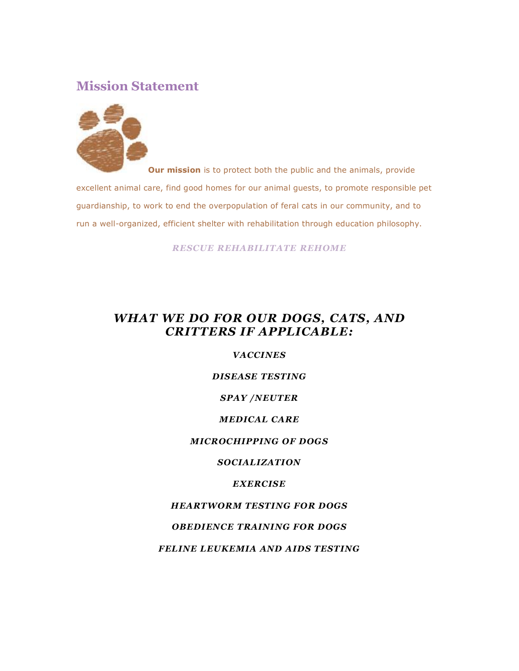### **Mission Statement**



**Our mission** is to protect both the public and the animals, provide excellent animal care, find good homes for our animal guests, to promote responsible pet guardianship, to work to end the overpopulation of feral cats in our community, and to run a well-organized, efficient shelter with rehabilitation through education philosophy.

*RESCUE REHABILITATE REHOME* 

#### *WHAT WE DO FOR OUR DOGS, CATS, AND CRITTERS IF APPLICABLE:*

#### *VACCINES*

#### *DISEASE TESTING*

#### *SPAY /NEUTER*

#### *MEDICAL CARE*

#### *MICROCHIPPING OF DOGS*

#### *SOCIALIZATION*

#### *EXERCISE*

#### *HEARTWORM TESTING FOR DOGS*

#### *OBEDIENCE TRAINING FOR DOGS*

#### *FELINE LEUKEMIA AND AIDS TESTING*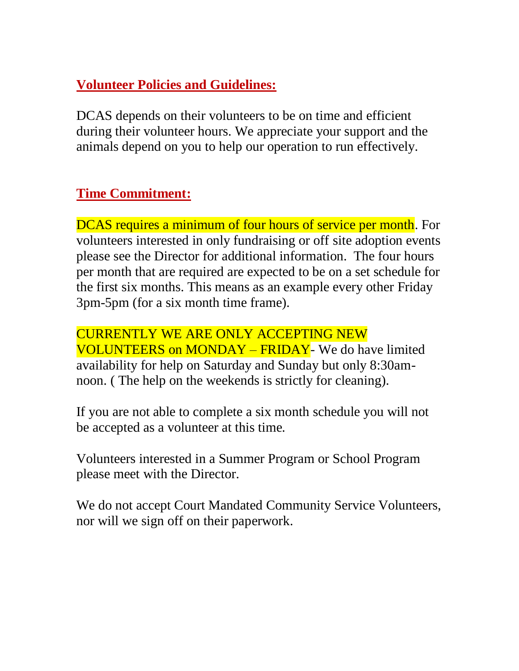# **Volunteer Policies and Guidelines:**

DCAS depends on their volunteers to be on time and efficient during their volunteer hours. We appreciate your support and the animals depend on you to help our operation to run effectively.

# **Time Commitment:**

DCAS requires a minimum of four hours of service per month. For volunteers interested in only fundraising or off site adoption events please see the Director for additional information. The four hours per month that are required are expected to be on a set schedule for the first six months. This means as an example every other Friday 3pm-5pm (for a six month time frame).

CURRENTLY WE ARE ONLY ACCEPTING NEW VOLUNTEERS on MONDAY – FRIDAY- We do have limited availability for help on Saturday and Sunday but only 8:30amnoon. ( The help on the weekends is strictly for cleaning).

If you are not able to complete a six month schedule you will not be accepted as a volunteer at this time.

Volunteers interested in a Summer Program or School Program please meet with the Director.

We do not accept Court Mandated Community Service Volunteers, nor will we sign off on their paperwork.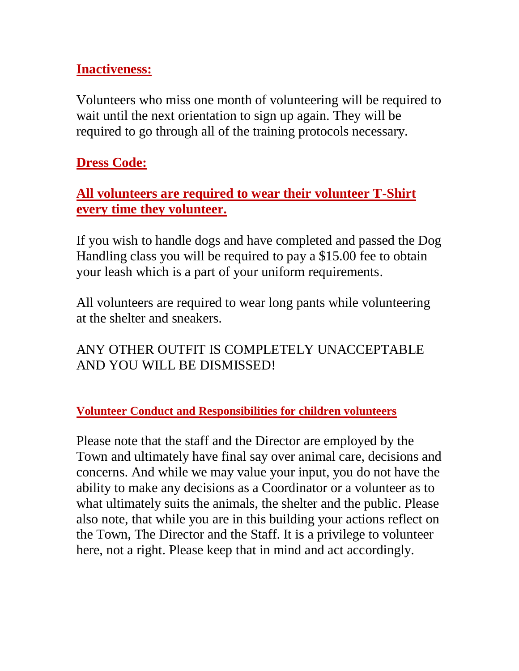### **Inactiveness:**

Volunteers who miss one month of volunteering will be required to wait until the next orientation to sign up again. They will be required to go through all of the training protocols necessary.

# **Dress Code:**

### **All volunteers are required to wear their volunteer T-Shirt every time they volunteer.**

If you wish to handle dogs and have completed and passed the Dog Handling class you will be required to pay a \$15.00 fee to obtain your leash which is a part of your uniform requirements.

All volunteers are required to wear long pants while volunteering at the shelter and sneakers.

# ANY OTHER OUTFIT IS COMPLETELY UNACCEPTABLE AND YOU WILL BE DISMISSED!

### **Volunteer Conduct and Responsibilities for children volunteers**

Please note that the staff and the Director are employed by the Town and ultimately have final say over animal care, decisions and concerns. And while we may value your input, you do not have the ability to make any decisions as a Coordinator or a volunteer as to what ultimately suits the animals, the shelter and the public. Please also note, that while you are in this building your actions reflect on the Town, The Director and the Staff. It is a privilege to volunteer here, not a right. Please keep that in mind and act accordingly.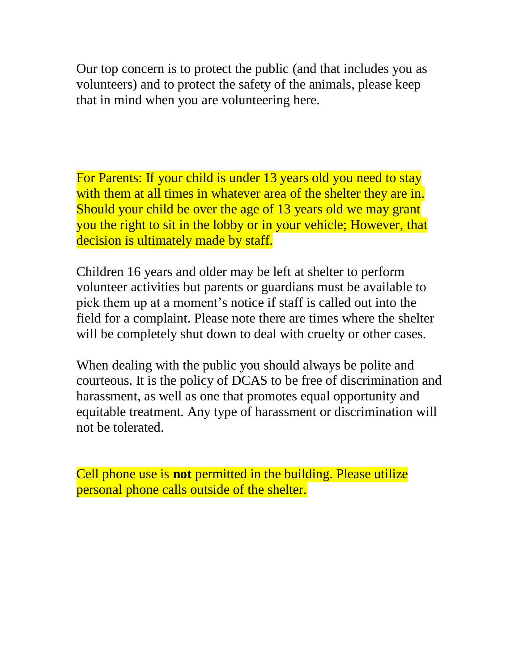Our top concern is to protect the public (and that includes you as volunteers) and to protect the safety of the animals, please keep that in mind when you are volunteering here.

For Parents: If your child is under 13 years old you need to stay with them at all times in whatever area of the shelter they are in. Should your child be over the age of 13 years old we may grant you the right to sit in the lobby or in your vehicle; However, that decision is ultimately made by staff.

Children 16 years and older may be left at shelter to perform volunteer activities but parents or guardians must be available to pick them up at a moment's notice if staff is called out into the field for a complaint. Please note there are times where the shelter will be completely shut down to deal with cruelty or other cases.

When dealing with the public you should always be polite and courteous. It is the policy of DCAS to be free of discrimination and harassment, as well as one that promotes equal opportunity and equitable treatment. Any type of harassment or discrimination will not be tolerated.

Cell phone use is **not** permitted in the building. Please utilize personal phone calls outside of the shelter.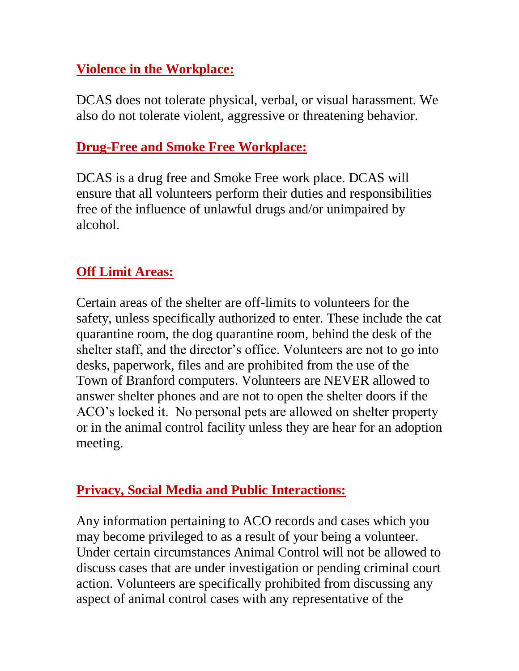# **Violence in the Workplace:**

DCAS does not tolerate physical, verbal, or visual harassment. We also do not tolerate violent, aggressive or threatening behavior.

### **Drug-Free and Smoke Free Workplace:**

DCAS is a drug free and Smoke Free work place. DCAS will ensure that all volunteers perform their duties and responsibilities free of the influence of unlawful drugs and/or unimpaired by alcohol.

### **Off Limit Areas:**

Certain areas of the shelter are off-limits to volunteers for the safety, unless specifically authorized to enter. These include the cat quarantine room, the dog quarantine room, behind the desk of the shelter staff, and the director's office. Volunteers are not to go into desks, paperwork, files and are prohibited from the use of the Town of Branford computers. Volunteers are NEVER allowed to answer shelter phones and are not to open the shelter doors if the ACO's locked it. No personal pets are allowed on shelter property or in the animal control facility unless they are hear for an adoption meeting.

### **Privacy, Social Media and Public Interactions:**

Any information pertaining to ACO records and cases which you may become privileged to as a result of your being a volunteer. Under certain circumstances Animal Control will not be allowed to discuss cases that are under investigation or pending criminal court action. Volunteers are specifically prohibited from discussing any aspect of animal control cases with any representative of the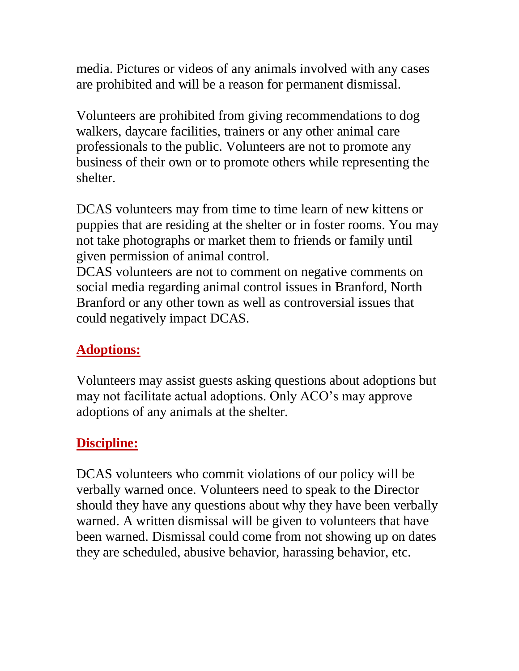media. Pictures or videos of any animals involved with any cases are prohibited and will be a reason for permanent dismissal.

Volunteers are prohibited from giving recommendations to dog walkers, daycare facilities, trainers or any other animal care professionals to the public. Volunteers are not to promote any business of their own or to promote others while representing the shelter.

DCAS volunteers may from time to time learn of new kittens or puppies that are residing at the shelter or in foster rooms. You may not take photographs or market them to friends or family until given permission of animal control.

DCAS volunteers are not to comment on negative comments on social media regarding animal control issues in Branford, North Branford or any other town as well as controversial issues that could negatively impact DCAS.

# **Adoptions:**

Volunteers may assist guests asking questions about adoptions but may not facilitate actual adoptions. Only ACO's may approve adoptions of any animals at the shelter.

# **Discipline:**

DCAS volunteers who commit violations of our policy will be verbally warned once. Volunteers need to speak to the Director should they have any questions about why they have been verbally warned. A written dismissal will be given to volunteers that have been warned. Dismissal could come from not showing up on dates they are scheduled, abusive behavior, harassing behavior, etc.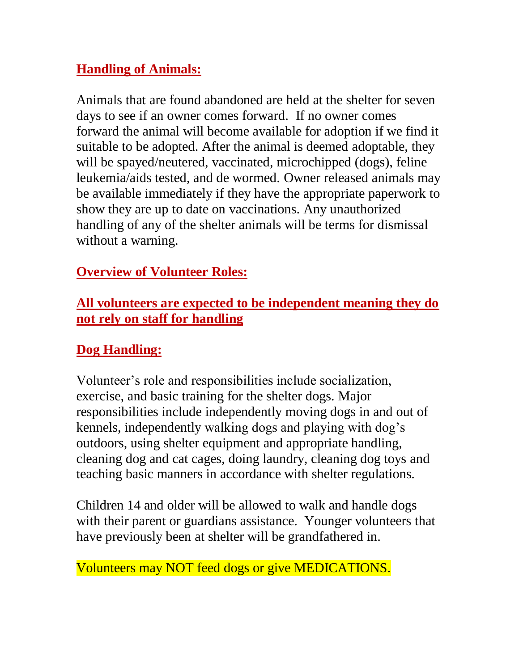# **Handling of Animals:**

Animals that are found abandoned are held at the shelter for seven days to see if an owner comes forward. If no owner comes forward the animal will become available for adoption if we find it suitable to be adopted. After the animal is deemed adoptable, they will be spayed/neutered, vaccinated, microchipped (dogs), feline leukemia/aids tested, and de wormed. Owner released animals may be available immediately if they have the appropriate paperwork to show they are up to date on vaccinations. Any unauthorized handling of any of the shelter animals will be terms for dismissal without a warning.

# **Overview of Volunteer Roles:**

### **All volunteers are expected to be independent meaning they do not rely on staff for handling**

# **Dog Handling:**

Volunteer's role and responsibilities include socialization, exercise, and basic training for the shelter dogs. Major responsibilities include independently moving dogs in and out of kennels, independently walking dogs and playing with dog's outdoors, using shelter equipment and appropriate handling, cleaning dog and cat cages, doing laundry, cleaning dog toys and teaching basic manners in accordance with shelter regulations.

Children 14 and older will be allowed to walk and handle dogs with their parent or guardians assistance. Younger volunteers that have previously been at shelter will be grandfathered in.

Volunteers may NOT feed dogs or give MEDICATIONS.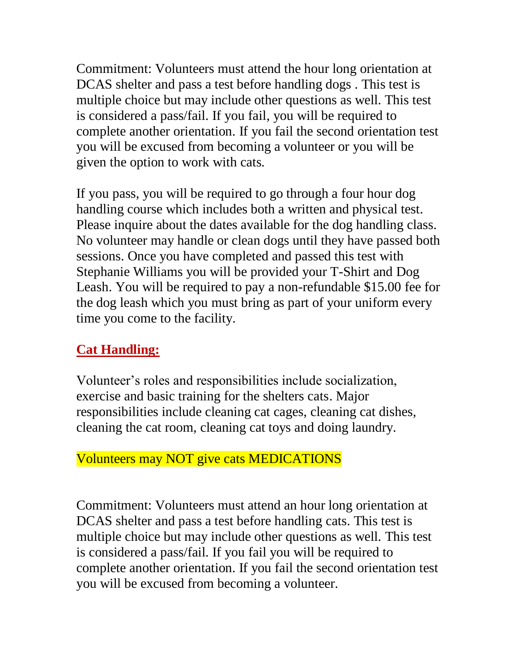Commitment: Volunteers must attend the hour long orientation at DCAS shelter and pass a test before handling dogs . This test is multiple choice but may include other questions as well. This test is considered a pass/fail. If you fail, you will be required to complete another orientation. If you fail the second orientation test you will be excused from becoming a volunteer or you will be given the option to work with cats.

If you pass, you will be required to go through a four hour dog handling course which includes both a written and physical test. Please inquire about the dates available for the dog handling class. No volunteer may handle or clean dogs until they have passed both sessions. Once you have completed and passed this test with Stephanie Williams you will be provided your T-Shirt and Dog Leash. You will be required to pay a non-refundable \$15.00 fee for the dog leash which you must bring as part of your uniform every time you come to the facility.

### **Cat Handling:**

Volunteer's roles and responsibilities include socialization, exercise and basic training for the shelters cats. Major responsibilities include cleaning cat cages, cleaning cat dishes, cleaning the cat room, cleaning cat toys and doing laundry.

### Volunteers may NOT give cats MEDICATIONS

Commitment: Volunteers must attend an hour long orientation at DCAS shelter and pass a test before handling cats. This test is multiple choice but may include other questions as well. This test is considered a pass/fail. If you fail you will be required to complete another orientation. If you fail the second orientation test you will be excused from becoming a volunteer.